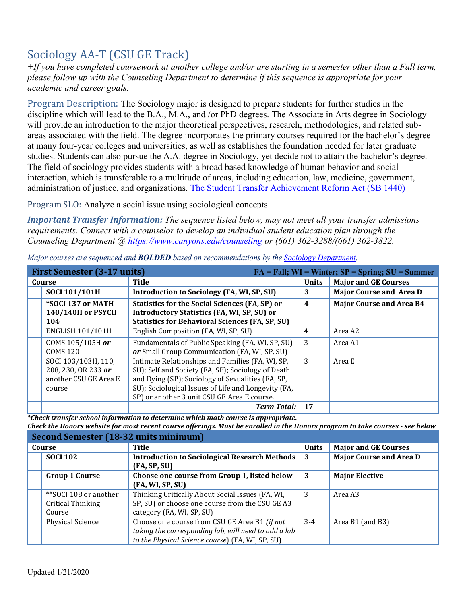# Sociology AA-T (CSU GE Track)

*+If you have completed coursework at another college and/or are starting in a semester other than a Fall term, please follow up with the Counseling Department to determine if this sequence is appropriate for your academic and career goals.* 

Program Description: The Sociology major is designed to prepare students for further studies in the discipline which will lead to the B.A., M.A., and /or PhD degrees. The Associate in Arts degree in Sociology will provide an introduction to the major theoretical perspectives, research, methodologies, and related subareas associated with the field. The degree incorporates the primary courses required for the bachelor's degree at many four-year colleges and universities, as well as establishes the foundation needed for later graduate studies. Students can also pursue the A.A. degree in Sociology, yet decide not to attain the bachelor's degree. The field of sociology provides students with a broad based knowledge of human behavior and social interaction, which is transferable to a multitude of areas, including education, law, medicine, government, administration of justice, and organizations. The Student Transfer Achievement Reform Act (SB 1440)

Program SLO: Analyze a social issue using sociological concepts.

*Important Transfer Information: The sequence listed below, may not meet all your transfer admissions requirements. Connect with a counselor to develop an individual student education plan through the Counseling Department @<https://www.canyons.edu/counseling>or (661) 362-3288/(661) 362-3822.* 

| <b>First Semester (3-17 units)</b><br>$FA = Fall; WI = Winter; SP = Spring; SU = Summer$ |                                                                                                                                                                                                                                                                   |                |                                 |
|------------------------------------------------------------------------------------------|-------------------------------------------------------------------------------------------------------------------------------------------------------------------------------------------------------------------------------------------------------------------|----------------|---------------------------------|
| Course                                                                                   | Title                                                                                                                                                                                                                                                             | <b>Units</b>   | <b>Major and GE Courses</b>     |
| SOCI 101/101H                                                                            | Introduction to Sociology (FA, WI, SP, SU)                                                                                                                                                                                                                        | 3              | <b>Major Course and Area D</b>  |
| *SOCI 137 or MATH<br>140/140H or PSYCH<br>104                                            | <b>Statistics for the Social Sciences (FA, SP) or</b><br><b>Introductory Statistics (FA, WI, SP, SU) or</b><br><b>Statistics for Behavioral Sciences (FA, SP, SU)</b>                                                                                             | $\overline{4}$ | <b>Major Course and Area B4</b> |
| <b>ENGLISH 101/101H</b>                                                                  | English Composition (FA, WI, SP, SU)                                                                                                                                                                                                                              | 4              | Area A2                         |
| COMS 105/105H or<br><b>COMS 120</b>                                                      | Fundamentals of Public Speaking (FA, WI, SP, SU)<br>or Small Group Communication (FA, WI, SP, SU)                                                                                                                                                                 | 3              | Area A1                         |
| SOCI 103/103H, 110,<br>208, 230, OR 233 or<br>another CSU GE Area E<br>course            | Intimate Relationships and Families (FA, WI, SP,<br>SU); Self and Society (FA, SP); Sociology of Death<br>and Dying (SP); Sociology of Sexualities (FA, SP,<br>SU); Sociological Issues of Life and Longevity (FA,<br>SP) or another 3 unit CSU GE Area E course. | 3              | Area E                          |
|                                                                                          | <b>Term Total:</b>                                                                                                                                                                                                                                                | 17             |                                 |

*Major courses are sequenced and BOLDED based on recommendations by the [Sociology Department.](https://www.canyons.edu/academics/sociology/index.php)* 

 *\*Check transfer school information to determine which math course is appropriate. Check the Honors website for most recent course offerings. Must be enrolled in the Honors program to take courses - see below* 

| <b>Second Semester (18-32 units minimum)</b>         |                                                                                                                                                           |              |                                |  |
|------------------------------------------------------|-----------------------------------------------------------------------------------------------------------------------------------------------------------|--------------|--------------------------------|--|
| Course                                               | Title                                                                                                                                                     | <b>Units</b> | <b>Major and GE Courses</b>    |  |
| <b>SOCI 102</b>                                      | <b>Introduction to Sociological Research Methods</b><br>(FA, SP, SU)                                                                                      | -3           | <b>Major Course and Area D</b> |  |
| <b>Group 1 Course</b>                                | Choose one course from Group 1, listed below<br>(FA, WI, SP, SU)                                                                                          | 3            | <b>Major Elective</b>          |  |
| **SOCI 108 or another<br>Critical Thinking<br>Course | Thinking Critically About Social Issues (FA, WI,<br>SP, SU) or choose one course from the CSU GE A3<br>category (FA, WI, SP, SU)                          | 3            | Area A3                        |  |
| <b>Physical Science</b>                              | Choose one course from CSU GE Area B1 (if not<br>taking the corresponding lab, will need to add a lab<br>to the Physical Science course) (FA, WI, SP, SU) | $3 - 4$      | Area B1 (and B3)               |  |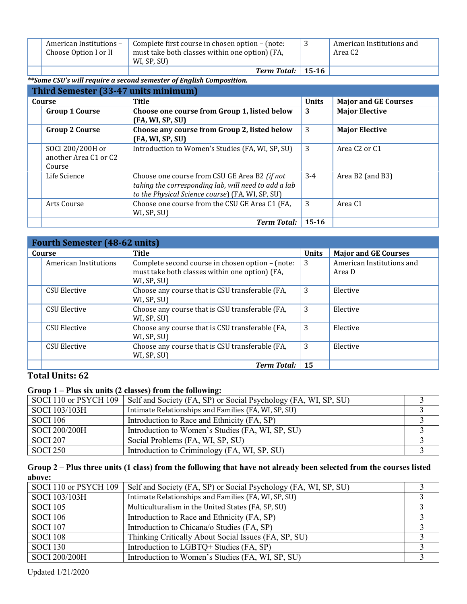| American Institutions -<br>Choose Option I or II | Complete first course in chosen option – (note:<br>must take both classes within one option) (FA,<br>WI, SP, SU) | American Institutions and<br>Area C2 |
|--------------------------------------------------|------------------------------------------------------------------------------------------------------------------|--------------------------------------|
|                                                  | <b>Term Total:</b> 15-16                                                                                         |                                      |

## *\*\*Some CSU's will require a second semester of English Composition.*

**Third Semester (33-47 units minimum)** 

| THILL SCHIESLEI (33-47 UNILS INNIHIUMII)            |                                                                                                                                                           |              |                                       |
|-----------------------------------------------------|-----------------------------------------------------------------------------------------------------------------------------------------------------------|--------------|---------------------------------------|
| Course                                              | <b>Title</b>                                                                                                                                              | <b>Units</b> | <b>Major and GE Courses</b>           |
| <b>Group 1 Course</b>                               | Choose one course from Group 1, listed below<br>(FA, WI, SP, SU)                                                                                          | 3            | <b>Major Elective</b>                 |
| <b>Group 2 Course</b>                               | Choose any course from Group 2, listed below<br>(FA, WI, SP, SU)                                                                                          | 3            | <b>Major Elective</b>                 |
| SOCI 200/200H or<br>another Area C1 or C2<br>Course | Introduction to Women's Studies (FA, WI, SP, SU)                                                                                                          | 3            | Area C <sub>2</sub> or C <sub>1</sub> |
| Life Science                                        | Choose one course from CSU GE Area B2 (if not<br>taking the corresponding lab, will need to add a lab<br>to the Physical Science course) (FA, WI, SP, SU) | $3 - 4$      | Area B2 (and B3)                      |
| Arts Course                                         | Choose one course from the CSU GE Area C1 (FA,<br>WI, SP, SU)                                                                                             | 3            | Area C1                               |
|                                                     | <b>Term Total:</b>                                                                                                                                        | $15 - 16$    |                                       |

| <b>Fourth Semester (48-62 units)</b> |                                                                                                                   |              |                                     |
|--------------------------------------|-------------------------------------------------------------------------------------------------------------------|--------------|-------------------------------------|
| Course                               | <b>Title</b>                                                                                                      | <b>Units</b> | <b>Major and GE Courses</b>         |
| American Institutions                | Complete second course in chosen option – (note:<br>must take both classes within one option) (FA,<br>WI, SP, SU) | 3            | American Institutions and<br>Area D |
| <b>CSU Elective</b>                  | Choose any course that is CSU transferable (FA,<br>WI, SP, SU)                                                    | 3            | Elective                            |
| <b>CSU Elective</b>                  | Choose any course that is CSU transferable (FA,<br>WI, SP, SU)                                                    | 3            | Elective                            |
| <b>CSU Elective</b>                  | Choose any course that is CSU transferable (FA,<br>WI, SP, SU)                                                    | 3            | Elective                            |
| <b>CSU Elective</b>                  | Choose any course that is CSU transferable (FA,<br>WI, SP, SU)                                                    | 3            | Elective                            |
|                                      | <b>Term Total:</b>                                                                                                | 15           |                                     |

## **Total Units: 62**

## **Group 1 – Plus six units (2 classes) from the following:**

| SOCI 110 or PSYCH 109 | Self and Society (FA, SP) or Social Psychology (FA, WI, SP, SU) |  |
|-----------------------|-----------------------------------------------------------------|--|
| SOCI 103/103H         | Intimate Relationships and Families (FA, WI, SP, SU)            |  |
| <b>SOCI 106</b>       | Introduction to Race and Ethnicity (FA, SP)                     |  |
| SOCI 200/200H         | Introduction to Women's Studies (FA, WI, SP, SU)                |  |
| <b>SOCI 207</b>       | Social Problems (FA, WI, SP, SU)                                |  |
| <b>SOCI 250</b>       | Introduction to Criminology (FA, WI, SP, SU)                    |  |

## **Group 2 – Plus three units (1 class) from the following that have not already been selected from the courses listed above:**

| SOCI 110 or PSYCH 109 | Self and Society (FA, SP) or Social Psychology (FA, WI, SP, SU) |  |
|-----------------------|-----------------------------------------------------------------|--|
| SOCI 103/103H         | Intimate Relationships and Families (FA, WI, SP, SU)            |  |
| <b>SOCI 105</b>       | Multiculturalism in the United States (FA, SP, SU)              |  |
| <b>SOCI 106</b>       | Introduction to Race and Ethnicity (FA, SP)                     |  |
| <b>SOCI 107</b>       | Introduction to Chicana/o Studies (FA, SP)                      |  |
| <b>SOCI 108</b>       | Thinking Critically About Social Issues (FA, SP, SU)            |  |
| <b>SOCI 130</b>       | Introduction to LGBTQ+ Studies (FA, SP)                         |  |
| SOCI 200/200H         | Introduction to Women's Studies (FA, WI, SP, SU)                |  |